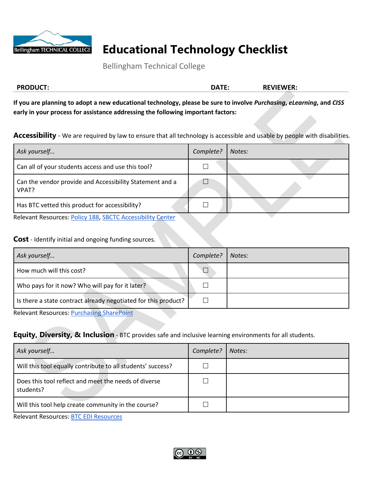

# **Educational Technology Checklist**

Bellingham Technical College

| <b>PRODUCT:</b> | י∓0∆ר | <b>PEVIEWER:</b> |
|-----------------|-------|------------------|
|                 |       |                  |

**If you are planning to adopt a new educational technology, please be sure to involve** *Purchasing***,** *eLearning***, and** *CISS* **early in your process for assistance addressing the following important factors:**

**Accessibility** *-* We are required by law to ensure that all technology is accessible and usable by people with disabilities.

| Ask yourself                                                      | Complete? | Notes: |
|-------------------------------------------------------------------|-----------|--------|
| Can all of your students access and use this tool?                |           |        |
| Can the vendor provide and Accessibility Statement and a<br>VPAT? |           |        |
| Has BTC vetted this product for accessibility?                    |           |        |

Relevant Resources: [Policy 188,](https://ocio.wa.gov/policy/accessibility) [SBCTC Accessibility Center](https://www.sbctc.edu/about/accessibility/default.aspx)

### **Cost** *-* Identify initial and ongoing funding sources.

| Ask yourself                                                   | Complete? | Notes: |
|----------------------------------------------------------------|-----------|--------|
| How much will this cost?                                       |           |        |
| Who pays for it now? Who will pay for it later?                |           |        |
| Is there a state contract already negotiated for this product? |           |        |

Relevant Resources: [Purchasing SharePoint](https://adminsrvs.btc.edu/pr/SitePages/Home.aspx)

### **Equity, Diversity, & Inclusion** - BTC provides safe and inclusive learning environments for all students.

| Ask yourself                                                      | Complete? | Notes: |
|-------------------------------------------------------------------|-----------|--------|
| Will this tool equally contribute to all students' success?       |           |        |
| Does this tool reflect and meet the needs of diverse<br>students? |           |        |
| Will this tool help create community in the course?               |           |        |

Relevant Resources: [BTC EDI Resources](https://www.btc.edu/AboutBTC/DiversityatBTC.html#Diversity,EquityandInclusion)